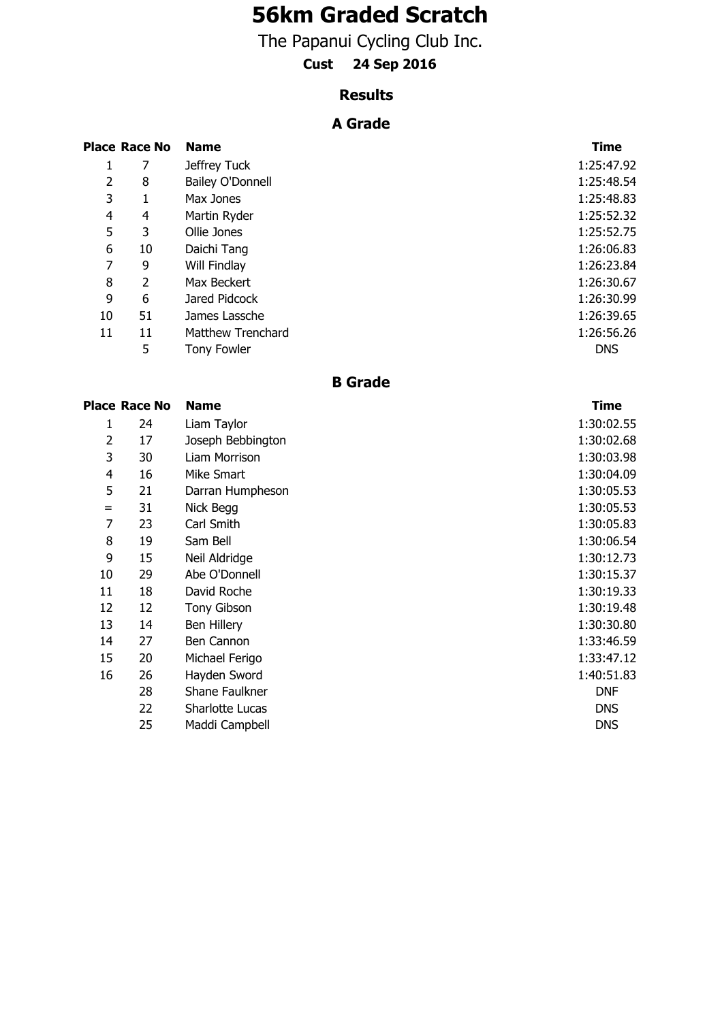# **56km Graded Scratch**

The Papanui Cycling Club Inc.

# **Cust 24 Sep 2016**

#### **Results**

## **A Grade**

|    | <b>Place Race No</b> | <b>Name</b>              | <b>Time</b> |
|----|----------------------|--------------------------|-------------|
| 1  | 7                    | Jeffrey Tuck             | 1:25:47.92  |
| 2  | 8                    | Bailey O'Donnell         | 1:25:48.54  |
| 3  |                      | Max Jones                | 1:25:48.83  |
| 4  | 4                    | Martin Ryder             | 1:25:52.32  |
| 5  | 3                    | Ollie Jones              | 1:25:52.75  |
| 6  | 10                   | Daichi Tang              | 1:26:06.83  |
| 7  | 9                    | Will Findlay             | 1:26:23.84  |
| 8  | 2                    | Max Beckert              | 1:26:30.67  |
| 9  | 6                    | Jared Pidcock            | 1:26:30.99  |
| 10 | 51                   | James Lassche            | 1:26:39.65  |
| 11 | 11                   | <b>Matthew Trenchard</b> | 1:26:56.26  |
|    | 5                    | Tony Fowler              | <b>DNS</b>  |

### **B Grade**

|     | <b>Place Race No</b> | <b>Name</b>        | <b>Time</b> |
|-----|----------------------|--------------------|-------------|
| 1   | 24                   | Liam Taylor        | 1:30:02.55  |
| 2   | 17                   | Joseph Bebbington  | 1:30:02.68  |
| 3   | 30                   | Liam Morrison      | 1:30:03.98  |
| 4   | 16                   | Mike Smart         | 1:30:04.09  |
| 5   | 21                   | Darran Humpheson   | 1:30:05.53  |
| $=$ | 31                   | Nick Begg          | 1:30:05.53  |
| 7   | 23                   | Carl Smith         | 1:30:05.83  |
| 8   | 19                   | Sam Bell           | 1:30:06.54  |
| 9   | 15                   | Neil Aldridge      | 1:30:12.73  |
| 10  | 29                   | Abe O'Donnell      | 1:30:15.37  |
| 11  | 18                   | David Roche        | 1:30:19.33  |
| 12  | 12                   | <b>Tony Gibson</b> | 1:30:19.48  |
| 13  | 14                   | Ben Hillery        | 1:30:30.80  |
| 14  | 27                   | Ben Cannon         | 1:33:46.59  |
| 15  | 20                   | Michael Ferigo     | 1:33:47.12  |
| 16  | 26                   | Hayden Sword       | 1:40:51.83  |
|     | 28                   | Shane Faulkner     | <b>DNF</b>  |
|     | 22                   | Sharlotte Lucas    | <b>DNS</b>  |
|     | 25                   | Maddi Campbell     | <b>DNS</b>  |